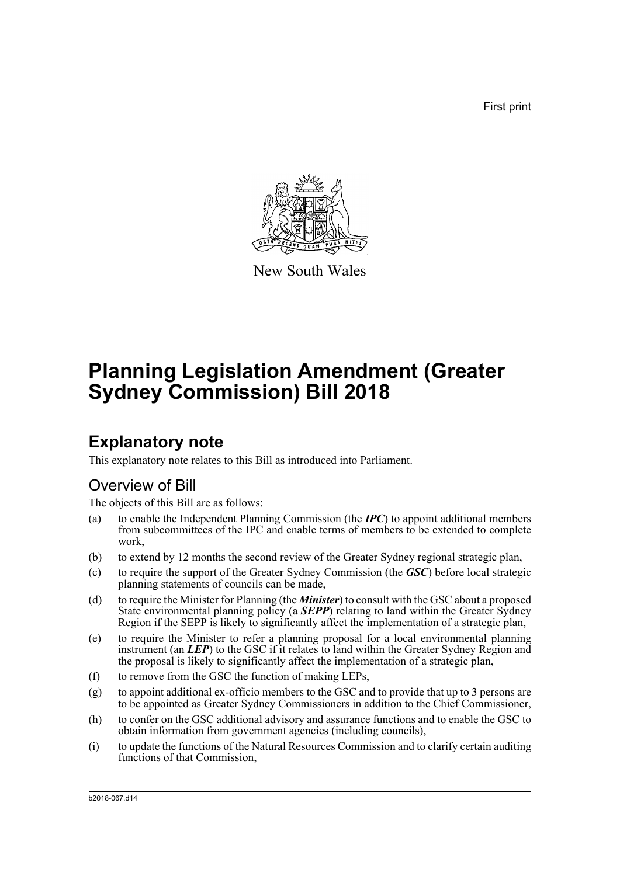First print



New South Wales

# **Planning Legislation Amendment (Greater Sydney Commission) Bill 2018**

## **Explanatory note**

This explanatory note relates to this Bill as introduced into Parliament.

## Overview of Bill

The objects of this Bill are as follows:

- (a) to enable the Independent Planning Commission (the *IPC*) to appoint additional members from subcommittees of the IPC and enable terms of members to be extended to complete work,
- (b) to extend by 12 months the second review of the Greater Sydney regional strategic plan,
- (c) to require the support of the Greater Sydney Commission (the *GSC*) before local strategic planning statements of councils can be made,
- (d) to require the Minister for Planning (the *Minister*) to consult with the GSC about a proposed State environmental planning policy (a **SEPP**) relating to land within the Greater Sydney Region if the SEPP is likely to significantly affect the implementation of a strategic plan,
- (e) to require the Minister to refer a planning proposal for a local environmental planning instrument (an *LEP*) to the GSC if it relates to land within the Greater Sydney Region and the proposal is likely to significantly affect the implementation of a strategic plan,
- (f) to remove from the GSC the function of making LEPs,
- (g) to appoint additional ex-officio members to the GSC and to provide that up to 3 persons are to be appointed as Greater Sydney Commissioners in addition to the Chief Commissioner,
- (h) to confer on the GSC additional advisory and assurance functions and to enable the GSC to obtain information from government agencies (including councils),
- (i) to update the functions of the Natural Resources Commission and to clarify certain auditing functions of that Commission,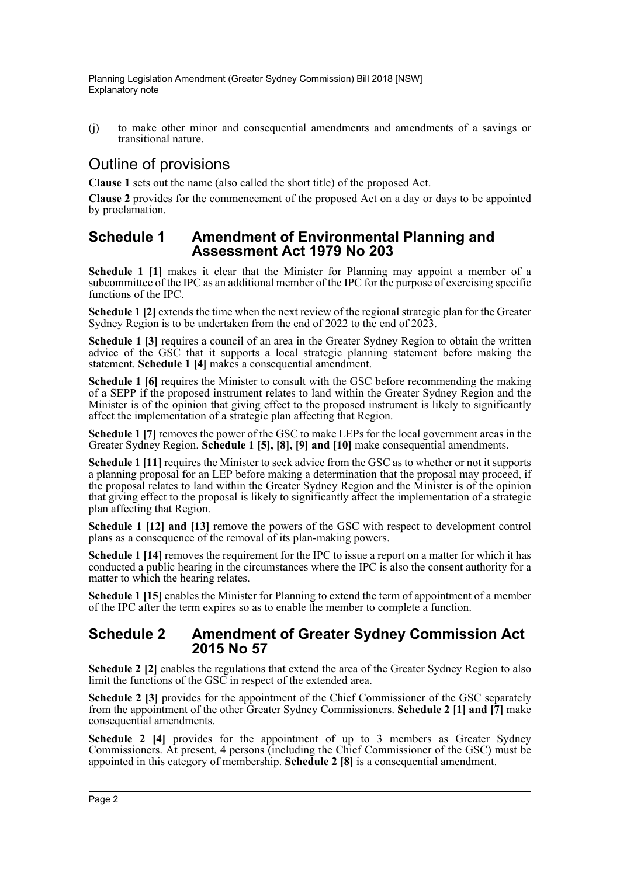(j) to make other minor and consequential amendments and amendments of a savings or transitional nature.

## Outline of provisions

**Clause 1** sets out the name (also called the short title) of the proposed Act.

**Clause 2** provides for the commencement of the proposed Act on a day or days to be appointed by proclamation.

## **Schedule 1 Amendment of Environmental Planning and Assessment Act 1979 No 203**

**Schedule 1 [1]** makes it clear that the Minister for Planning may appoint a member of a subcommittee of the IPC as an additional member of the IPC for the purpose of exercising specific functions of the IPC.

**Schedule 1** [2] extends the time when the next review of the regional strategic plan for the Greater Sydney Region is to be undertaken from the end of 2022 to the end of 2023.

**Schedule 1 [3]** requires a council of an area in the Greater Sydney Region to obtain the written advice of the GSC that it supports a local strategic planning statement before making the statement. **Schedule 1 [4]** makes a consequential amendment.

**Schedule 1 [6]** requires the Minister to consult with the GSC before recommending the making of a SEPP if the proposed instrument relates to land within the Greater Sydney Region and the Minister is of the opinion that giving effect to the proposed instrument is likely to significantly affect the implementation of a strategic plan affecting that Region.

**Schedule 1 [7]** removes the power of the GSC to make LEPs for the local government areas in the Greater Sydney Region. **Schedule 1 [5], [8], [9] and [10]** make consequential amendments.

**Schedule 1 [11]** requires the Minister to seek advice from the GSC as to whether or not it supports a planning proposal for an LEP before making a determination that the proposal may proceed, if the proposal relates to land within the Greater Sydney Region and the Minister is of the opinion that giving effect to the proposal is likely to significantly affect the implementation of a strategic plan affecting that Region.

**Schedule 1 [12] and [13]** remove the powers of the GSC with respect to development control plans as a consequence of the removal of its plan-making powers.

**Schedule 1 [14]** removes the requirement for the IPC to issue a report on a matter for which it has conducted a public hearing in the circumstances where the IPC is also the consent authority for a matter to which the hearing relates.

**Schedule 1 [15]** enables the Minister for Planning to extend the term of appointment of a member of the IPC after the term expires so as to enable the member to complete a function.

### **Schedule 2 Amendment of Greater Sydney Commission Act 2015 No 57**

**Schedule 2 [2]** enables the regulations that extend the area of the Greater Sydney Region to also limit the functions of the GSC in respect of the extended area.

Schedule 2 [3] provides for the appointment of the Chief Commissioner of the GSC separately from the appointment of the other Greater Sydney Commissioners. **Schedule 2 [1] and [7]** make consequential amendments.

**Schedule 2 [4]** provides for the appointment of up to 3 members as Greater Sydney Commissioners. At present, 4 persons (including the Chief Commissioner of the GSC) must be appointed in this category of membership. **Schedule 2 [8]** is a consequential amendment.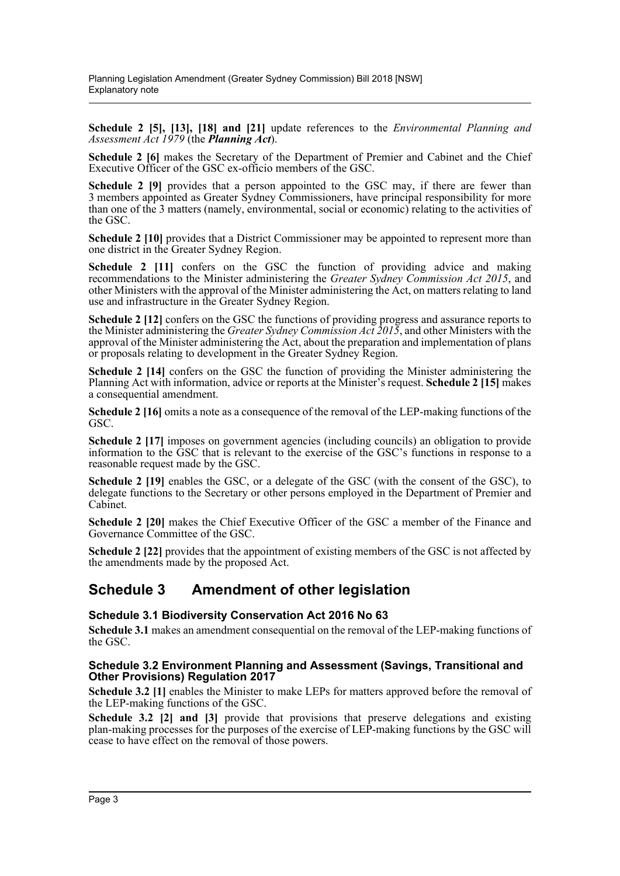**Schedule 2 [5], [13], [18] and [21]** update references to the *Environmental Planning and Assessment Act 1979* (the *Planning Act*).

**Schedule 2 [6]** makes the Secretary of the Department of Premier and Cabinet and the Chief Executive Officer of the GSC ex-officio members of the GSC.

**Schedule 2 [9]** provides that a person appointed to the GSC may, if there are fewer than 3 members appointed as Greater Sydney Commissioners, have principal responsibility for more than one of the 3 matters (namely, environmental, social or economic) relating to the activities of the GSC.

**Schedule 2 [10]** provides that a District Commissioner may be appointed to represent more than one district in the Greater Sydney Region.

**Schedule 2 [11]** confers on the GSC the function of providing advice and making recommendations to the Minister administering the *Greater Sydney Commission Act 2015*, and other Ministers with the approval of the Minister administering the Act, on matters relating to land use and infrastructure in the Greater Sydney Region.

**Schedule 2 [12]** confers on the GSC the functions of providing progress and assurance reports to the Minister administering the *Greater Sydney Commission Act 2015*, and other Ministers with the approval of the Minister administering the Act, about the preparation and implementation of plans or proposals relating to development in the Greater Sydney Region.

**Schedule 2 [14]** confers on the GSC the function of providing the Minister administering the Planning Act with information, advice or reports at the Minister's request. **Schedule 2 [15]** makes a consequential amendment.

**Schedule 2 [16]** omits a note as a consequence of the removal of the LEP-making functions of the GSC.

**Schedule 2 [17]** imposes on government agencies (including councils) an obligation to provide information to the GSC that is relevant to the exercise of the GSC's functions in response to a reasonable request made by the GSC.

**Schedule 2 [19]** enables the GSC, or a delegate of the GSC (with the consent of the GSC), to delegate functions to the Secretary or other persons employed in the Department of Premier and Cabinet.

**Schedule 2 [20]** makes the Chief Executive Officer of the GSC a member of the Finance and Governance Committee of the GSC.

**Schedule 2 [22]** provides that the appointment of existing members of the GSC is not affected by the amendments made by the proposed Act.

## **Schedule 3 Amendment of other legislation**

#### **Schedule 3.1 Biodiversity Conservation Act 2016 No 63**

**Schedule 3.1** makes an amendment consequential on the removal of the LEP-making functions of the GSC.

#### **Schedule 3.2 Environment Planning and Assessment (Savings, Transitional and Other Provisions) Regulation 2017**

**Schedule 3.2** [1] enables the Minister to make LEPs for matters approved before the removal of the LEP-making functions of the GSC.

**Schedule 3.2 [2] and [3]** provide that provisions that preserve delegations and existing plan-making processes for the purposes of the exercise of LEP-making functions by the GSC will cease to have effect on the removal of those powers.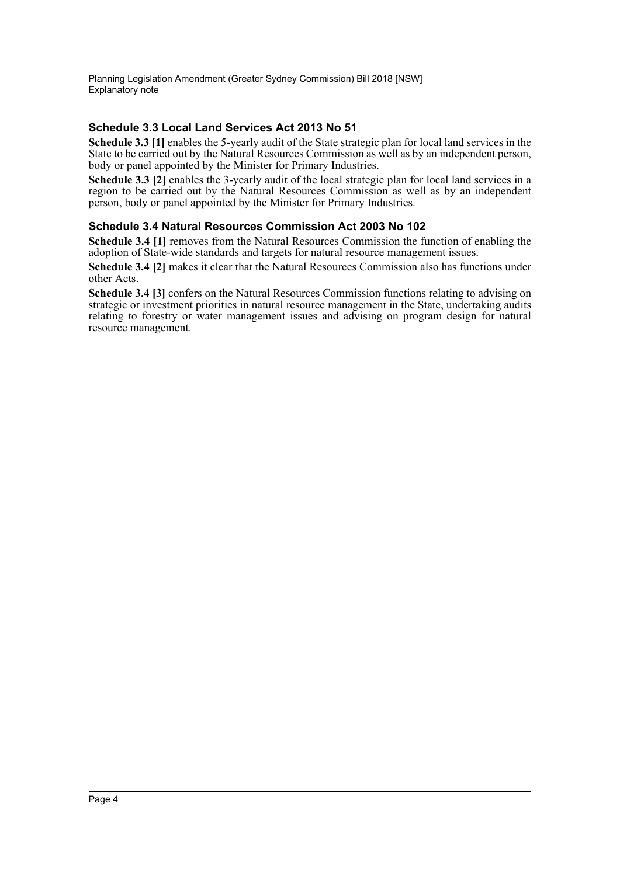### **Schedule 3.3 Local Land Services Act 2013 No 51**

**Schedule 3.3 [1]** enables the 5-yearly audit of the State strategic plan for local land services in the State to be carried out by the Natural Resources Commission as well as by an independent person, body or panel appointed by the Minister for Primary Industries.

**Schedule 3.3 [2]** enables the 3-yearly audit of the local strategic plan for local land services in a region to be carried out by the Natural Resources Commission as well as by an independent person, body or panel appointed by the Minister for Primary Industries.

### **Schedule 3.4 Natural Resources Commission Act 2003 No 102**

**Schedule 3.4 [1]** removes from the Natural Resources Commission the function of enabling the adoption of State-wide standards and targets for natural resource management issues.

**Schedule 3.4 [2]** makes it clear that the Natural Resources Commission also has functions under other Acts.

**Schedule 3.4 [3]** confers on the Natural Resources Commission functions relating to advising on strategic or investment priorities in natural resource management in the State, undertaking audits relating to forestry or water management issues and advising on program design for natural resource management.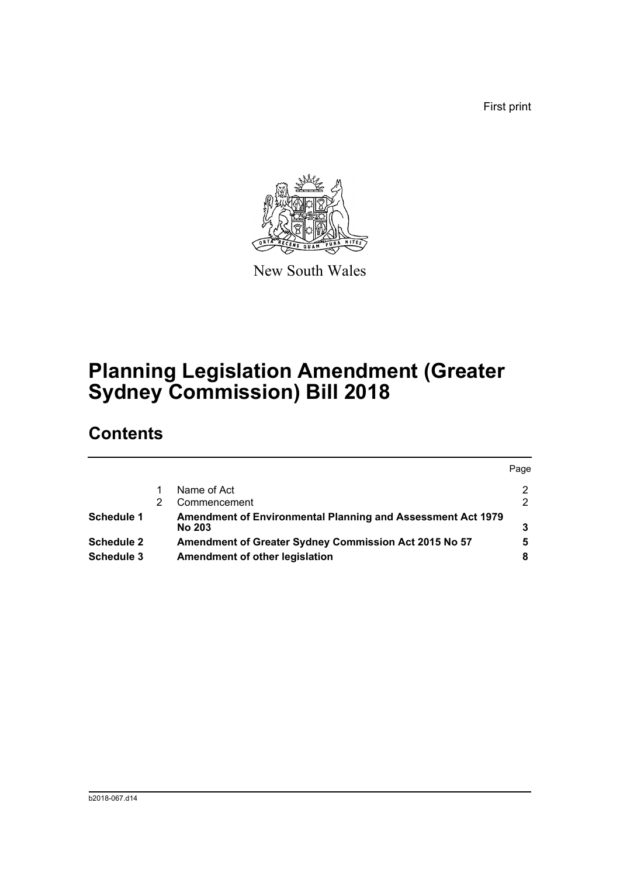First print



New South Wales

# **Planning Legislation Amendment (Greater Sydney Commission) Bill 2018**

## **Contents**

|                   |                                                                              | Page          |
|-------------------|------------------------------------------------------------------------------|---------------|
|                   | Name of Act                                                                  | 2             |
|                   | Commencement                                                                 | $\mathcal{P}$ |
| <b>Schedule 1</b> | Amendment of Environmental Planning and Assessment Act 1979<br><b>No 203</b> |               |
| <b>Schedule 2</b> | Amendment of Greater Sydney Commission Act 2015 No 57                        | 5             |
| Schedule 3        | Amendment of other legislation                                               | 8             |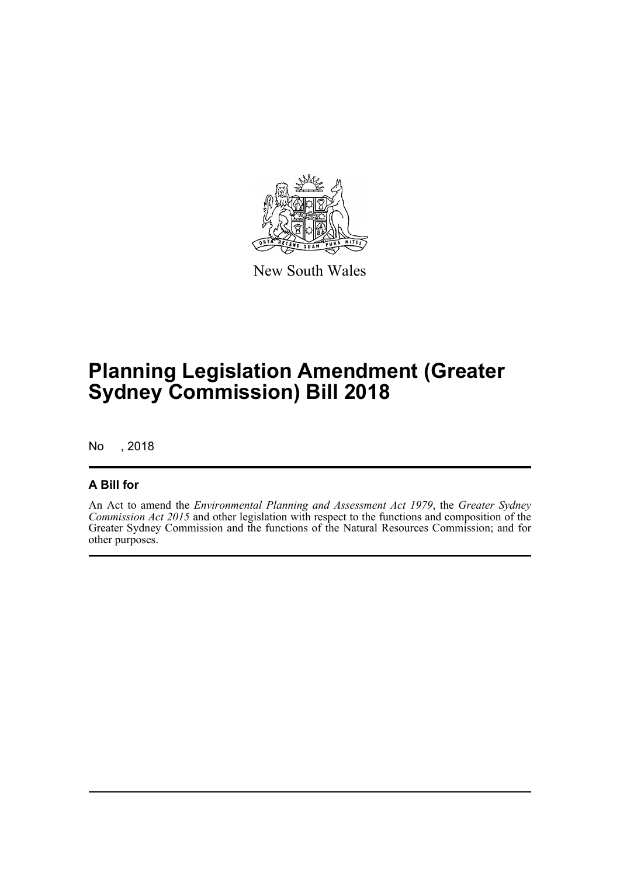

New South Wales

# **Planning Legislation Amendment (Greater Sydney Commission) Bill 2018**

No , 2018

## **A Bill for**

An Act to amend the *Environmental Planning and Assessment Act 1979*, the *Greater Sydney Commission Act 2015* and other legislation with respect to the functions and composition of the Greater Sydney Commission and the functions of the Natural Resources Commission; and for other purposes.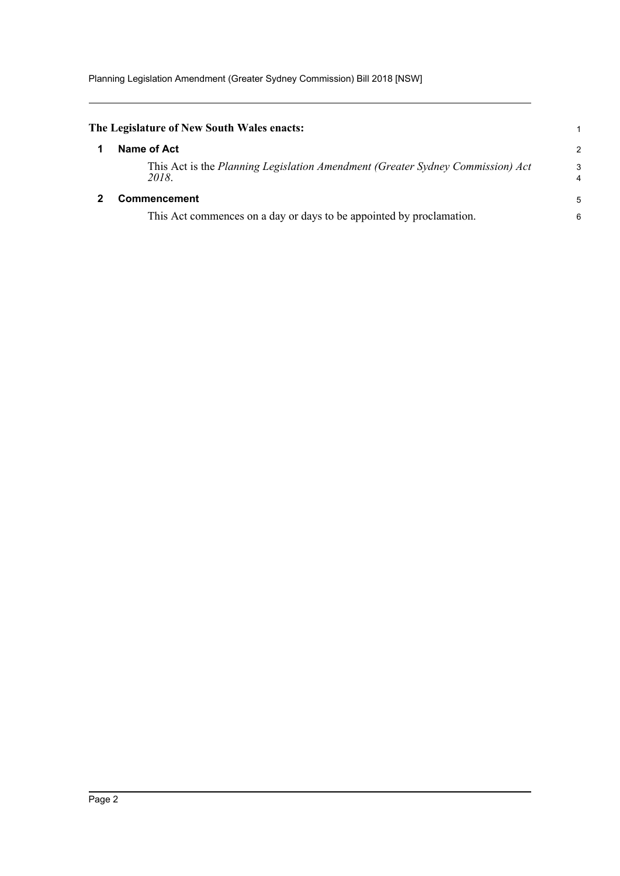<span id="page-6-1"></span><span id="page-6-0"></span>

| The Legislature of New South Wales enacts:                                              |                |
|-----------------------------------------------------------------------------------------|----------------|
| Name of Act                                                                             | $\overline{2}$ |
| This Act is the Planning Legislation Amendment (Greater Sydney Commission) Act<br>2018. | 3<br>4         |
| <b>Commencement</b>                                                                     | 5              |
| This Act commences on a day or days to be appointed by proclamation.                    | 6              |
|                                                                                         |                |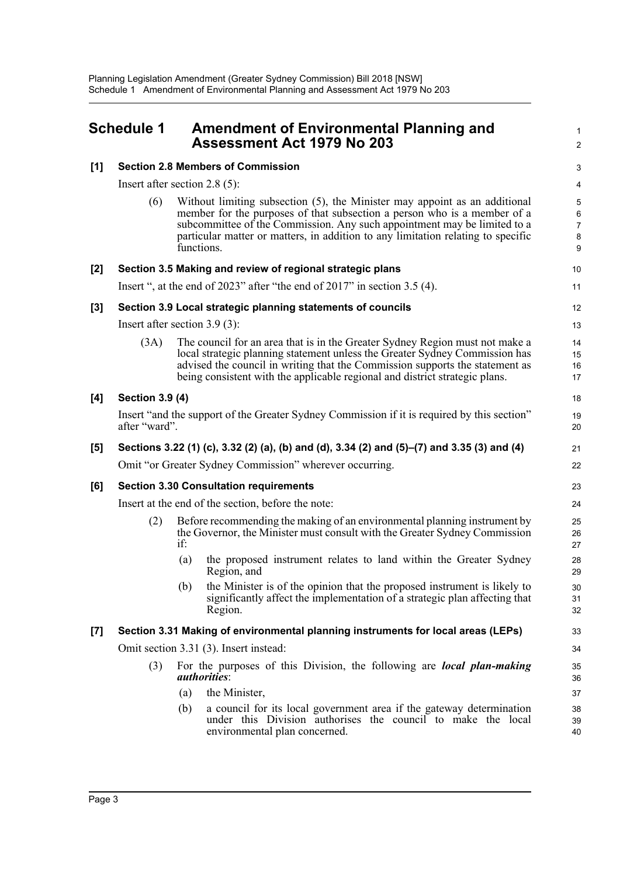<span id="page-7-0"></span>

| <b>Schedule 1</b> |                                                                                                              |                                  | <b>Amendment of Environmental Planning and</b><br>Assessment Act 1979 No 203                                                                                                                                                                                                                                                         |                                |  |  |
|-------------------|--------------------------------------------------------------------------------------------------------------|----------------------------------|--------------------------------------------------------------------------------------------------------------------------------------------------------------------------------------------------------------------------------------------------------------------------------------------------------------------------------------|--------------------------------|--|--|
| [1]               |                                                                                                              |                                  | <b>Section 2.8 Members of Commission</b>                                                                                                                                                                                                                                                                                             | G                              |  |  |
|                   |                                                                                                              | Insert after section 2.8 $(5)$ : |                                                                                                                                                                                                                                                                                                                                      |                                |  |  |
|                   | (6)                                                                                                          |                                  | Without limiting subsection (5), the Minister may appoint as an additional<br>member for the purposes of that subsection a person who is a member of a<br>subcommittee of the Commission. Any such appointment may be limited to a<br>particular matter or matters, in addition to any limitation relating to specific<br>functions. | ć<br>$\epsilon$<br>7<br>ξ<br>ç |  |  |
| [2]               |                                                                                                              |                                  | Section 3.5 Making and review of regional strategic plans                                                                                                                                                                                                                                                                            | 10                             |  |  |
|                   |                                                                                                              |                                  | Insert ", at the end of $2023$ " after "the end of $2017$ " in section 3.5 (4).                                                                                                                                                                                                                                                      | 11                             |  |  |
| [3]               |                                                                                                              |                                  | Section 3.9 Local strategic planning statements of councils                                                                                                                                                                                                                                                                          | 12                             |  |  |
|                   | Insert after section $3.9(3)$ :                                                                              |                                  |                                                                                                                                                                                                                                                                                                                                      | 13                             |  |  |
|                   | (3A)                                                                                                         |                                  | The council for an area that is in the Greater Sydney Region must not make a<br>local strategic planning statement unless the Greater Sydney Commission has<br>advised the council in writing that the Commission supports the statement as<br>being consistent with the applicable regional and district strategic plans.           | 14<br>15<br>16<br>17           |  |  |
| [4]               | <b>Section 3.9 (4)</b>                                                                                       |                                  |                                                                                                                                                                                                                                                                                                                                      | 18                             |  |  |
|                   | Insert "and the support of the Greater Sydney Commission if it is required by this section"<br>after "ward". |                                  |                                                                                                                                                                                                                                                                                                                                      |                                |  |  |
| [5]               | Sections 3.22 (1) (c), 3.32 (2) (a), (b) and (d), 3.34 (2) and (5)–(7) and 3.35 (3) and (4)                  |                                  |                                                                                                                                                                                                                                                                                                                                      |                                |  |  |
|                   |                                                                                                              |                                  | Omit "or Greater Sydney Commission" wherever occurring.                                                                                                                                                                                                                                                                              | 22                             |  |  |
| [6]               | <b>Section 3.30 Consultation requirements</b>                                                                |                                  |                                                                                                                                                                                                                                                                                                                                      |                                |  |  |
|                   | Insert at the end of the section, before the note:                                                           |                                  |                                                                                                                                                                                                                                                                                                                                      |                                |  |  |
|                   | (2)                                                                                                          | if:                              | Before recommending the making of an environmental planning instrument by<br>the Governor, the Minister must consult with the Greater Sydney Commission                                                                                                                                                                              | 25<br>26<br>27                 |  |  |
|                   |                                                                                                              | (a)                              | the proposed instrument relates to land within the Greater Sydney<br>Region, and                                                                                                                                                                                                                                                     | 28<br>29                       |  |  |
|                   |                                                                                                              | (b)                              | the Minister is of the opinion that the proposed instrument is likely to<br>significantly affect the implementation of a strategic plan affecting that<br>Region.                                                                                                                                                                    | 30<br>31<br>32                 |  |  |
| [7]               | Section 3.31 Making of environmental planning instruments for local areas (LEPs)                             |                                  |                                                                                                                                                                                                                                                                                                                                      |                                |  |  |
|                   | Omit section 3.31 (3). Insert instead:                                                                       |                                  |                                                                                                                                                                                                                                                                                                                                      |                                |  |  |
|                   | (3)                                                                                                          |                                  | For the purposes of this Division, the following are <i>local plan-making</i><br><i>authorities:</i>                                                                                                                                                                                                                                 | 35<br>36                       |  |  |
|                   |                                                                                                              | (a)                              | the Minister,                                                                                                                                                                                                                                                                                                                        | 37                             |  |  |
|                   |                                                                                                              | (b)                              | a council for its local government area if the gateway determination<br>under this Division authorises the council to make the local<br>environmental plan concerned.                                                                                                                                                                | 38<br>39<br>40                 |  |  |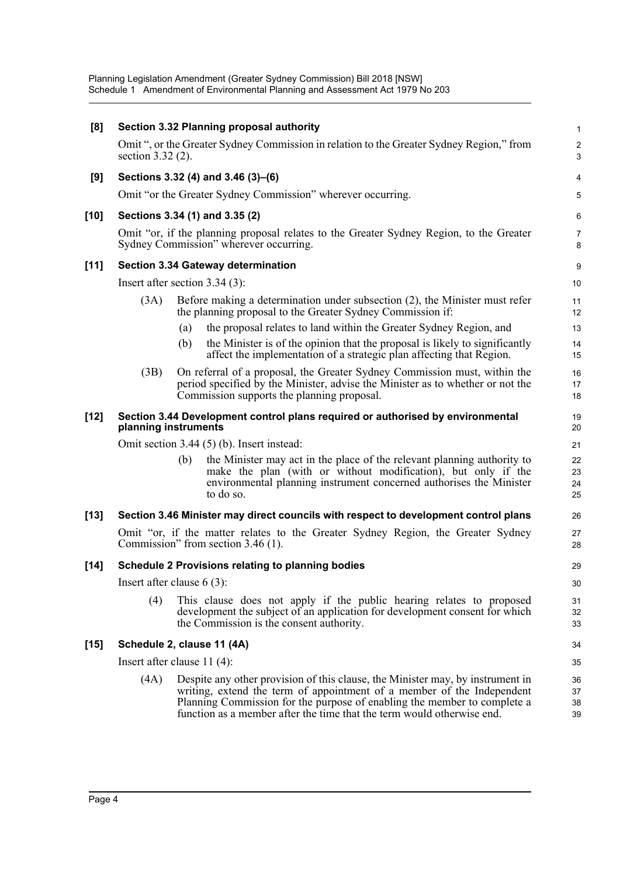| [8]    |                                  |     | Section 3.32 Planning proposal authority                                                                                                                                                                                                                                                                       |                      |  |
|--------|----------------------------------|-----|----------------------------------------------------------------------------------------------------------------------------------------------------------------------------------------------------------------------------------------------------------------------------------------------------------------|----------------------|--|
|        | section 3.32 (2).                |     | Omit ", or the Greater Sydney Commission in relation to the Greater Sydney Region," from                                                                                                                                                                                                                       | 2<br>З               |  |
| [9]    |                                  |     | Sections 3.32 (4) and 3.46 (3)–(6)                                                                                                                                                                                                                                                                             |                      |  |
|        |                                  |     | Omit "or the Greater Sydney Commission" wherever occurring.                                                                                                                                                                                                                                                    |                      |  |
| $[10]$ |                                  |     | Sections 3.34 (1) and 3.35 (2)                                                                                                                                                                                                                                                                                 | б                    |  |
|        |                                  |     | Omit "or, if the planning proposal relates to the Greater Sydney Region, to the Greater<br>Sydney Commission" wherever occurring.                                                                                                                                                                              | 7<br>ε               |  |
| $[11]$ |                                  |     | <b>Section 3.34 Gateway determination</b>                                                                                                                                                                                                                                                                      | ξ                    |  |
|        | Insert after section $3.34(3)$ : |     |                                                                                                                                                                                                                                                                                                                | 10                   |  |
|        | (3A)                             |     | Before making a determination under subsection (2), the Minister must refer<br>the planning proposal to the Greater Sydney Commission if:                                                                                                                                                                      | 11<br>12             |  |
|        |                                  | (a) | the proposal relates to land within the Greater Sydney Region, and                                                                                                                                                                                                                                             | 13                   |  |
|        |                                  | (b) | the Minister is of the opinion that the proposal is likely to significantly<br>affect the implementation of a strategic plan affecting that Region.                                                                                                                                                            | 14<br>15             |  |
|        | (3B)                             |     | On referral of a proposal, the Greater Sydney Commission must, within the<br>period specified by the Minister, advise the Minister as to whether or not the<br>Commission supports the planning proposal.                                                                                                      | 16<br>17<br>18       |  |
| $[12]$ | planning instruments             |     | Section 3.44 Development control plans required or authorised by environmental                                                                                                                                                                                                                                 | 19<br>20             |  |
|        |                                  |     | Omit section $3.44(5)(b)$ . Insert instead:                                                                                                                                                                                                                                                                    | 21                   |  |
|        |                                  | (b) | the Minister may act in the place of the relevant planning authority to<br>make the plan (with or without modification), but only if the<br>environmental planning instrument concerned authorises the Minister<br>to do so.                                                                                   | 22<br>23<br>24<br>25 |  |
| $[13]$ |                                  |     | Section 3.46 Minister may direct councils with respect to development control plans                                                                                                                                                                                                                            | 26                   |  |
|        |                                  |     | Omit "or, if the matter relates to the Greater Sydney Region, the Greater Sydney<br>Commission" from section 3.46 (1).                                                                                                                                                                                         | 27<br>28             |  |
| $[14]$ |                                  |     | <b>Schedule 2 Provisions relating to planning bodies</b>                                                                                                                                                                                                                                                       | 29                   |  |
|        | Insert after clause $6(3)$ :     |     |                                                                                                                                                                                                                                                                                                                | 3 <sub>C</sub>       |  |
|        | (4)                              |     | This clause does not apply if the public hearing relates to proposed<br>development the subject of an application for development consent for which<br>the Commission is the consent authority.                                                                                                                | 31<br>32<br>33       |  |
| $[15]$ | Schedule 2, clause 11 (4A)       |     |                                                                                                                                                                                                                                                                                                                | 34                   |  |
|        | Insert after clause $11(4)$ :    |     |                                                                                                                                                                                                                                                                                                                |                      |  |
|        | (4A)                             |     | Despite any other provision of this clause, the Minister may, by instrument in<br>writing, extend the term of appointment of a member of the Independent<br>Planning Commission for the purpose of enabling the member to complete a<br>function as a member after the time that the term would otherwise end. | 36<br>37<br>38<br>39 |  |
|        |                                  |     |                                                                                                                                                                                                                                                                                                                |                      |  |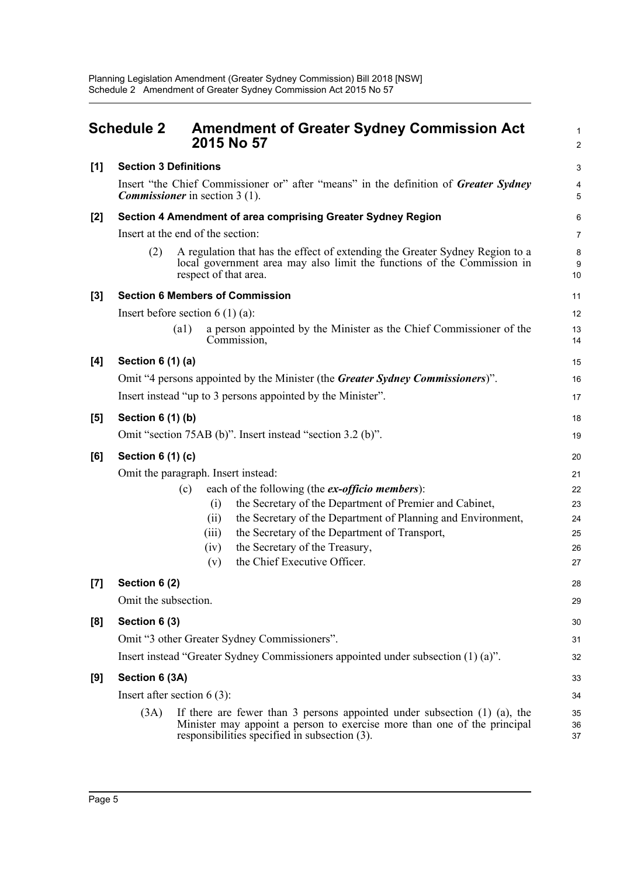<span id="page-9-0"></span>

|       | <b>Schedule 2</b>             | <b>Amendment of Greater Sydney Commission Act</b><br>2015 No 57                                                                                                                                             | 2              |
|-------|-------------------------------|-------------------------------------------------------------------------------------------------------------------------------------------------------------------------------------------------------------|----------------|
| [1]   | <b>Section 3 Definitions</b>  |                                                                                                                                                                                                             | З              |
|       |                               | Insert "the Chief Commissioner or" after "means" in the definition of Greater Sydney<br><b>Commissioner</b> in section 3 (1).                                                                               | 5              |
| $[2]$ |                               | Section 4 Amendment of area comprising Greater Sydney Region                                                                                                                                                | $\epsilon$     |
|       |                               | Insert at the end of the section:                                                                                                                                                                           | 7              |
|       | (2)                           | A regulation that has the effect of extending the Greater Sydney Region to a<br>local government area may also limit the functions of the Commission in<br>respect of that area.                            | ε<br>ς<br>10   |
| $[3]$ |                               | <b>Section 6 Members of Commission</b>                                                                                                                                                                      | 11             |
|       |                               | Insert before section $6(1)(a)$ :                                                                                                                                                                           | 12             |
|       |                               | a person appointed by the Minister as the Chief Commissioner of the<br>$\left( a1\right)$<br>Commission,                                                                                                    | 13<br>14       |
| [4]   | Section 6 (1) (a)             |                                                                                                                                                                                                             | 15             |
|       |                               | Omit "4 persons appointed by the Minister (the Greater Sydney Commissioners)".                                                                                                                              | 16             |
|       |                               | Insert instead "up to 3 persons appointed by the Minister".                                                                                                                                                 | 17             |
| $[5]$ | <b>Section 6 (1) (b)</b>      |                                                                                                                                                                                                             | 18             |
|       |                               | Omit "section 75AB (b)". Insert instead "section 3.2 (b)".                                                                                                                                                  | 19             |
| [6]   | Section 6 (1) (c)             |                                                                                                                                                                                                             | 20             |
|       |                               | Omit the paragraph. Insert instead:                                                                                                                                                                         | 21             |
|       |                               | each of the following (the ex-officio members):<br>(c)                                                                                                                                                      | 22             |
|       |                               | the Secretary of the Department of Premier and Cabinet,<br>(i)                                                                                                                                              | 23             |
|       |                               | the Secretary of the Department of Planning and Environment,<br>(ii)                                                                                                                                        | 24             |
|       |                               | the Secretary of the Department of Transport,<br>(iii)                                                                                                                                                      | 25             |
|       |                               | the Secretary of the Treasury,<br>(iv)                                                                                                                                                                      | 26             |
|       |                               | the Chief Executive Officer.<br>(v)                                                                                                                                                                         | 27             |
| [7]   | Section 6 (2)                 |                                                                                                                                                                                                             | 28             |
|       | Omit the subsection.          |                                                                                                                                                                                                             | 29             |
| [8]   | Section 6 (3)                 |                                                                                                                                                                                                             | 30             |
|       |                               | Omit "3 other Greater Sydney Commissioners".                                                                                                                                                                | 31             |
|       |                               | Insert instead "Greater Sydney Commissioners appointed under subsection (1) (a)".                                                                                                                           | 32             |
| [9]   | Section 6 (3A)                |                                                                                                                                                                                                             | 33             |
|       | Insert after section $6(3)$ : |                                                                                                                                                                                                             | 34             |
|       | (3A)                          | If there are fewer than 3 persons appointed under subsection $(1)$ $(a)$ , the<br>Minister may appoint a person to exercise more than one of the principal<br>responsibilities specified in subsection (3). | 35<br>36<br>37 |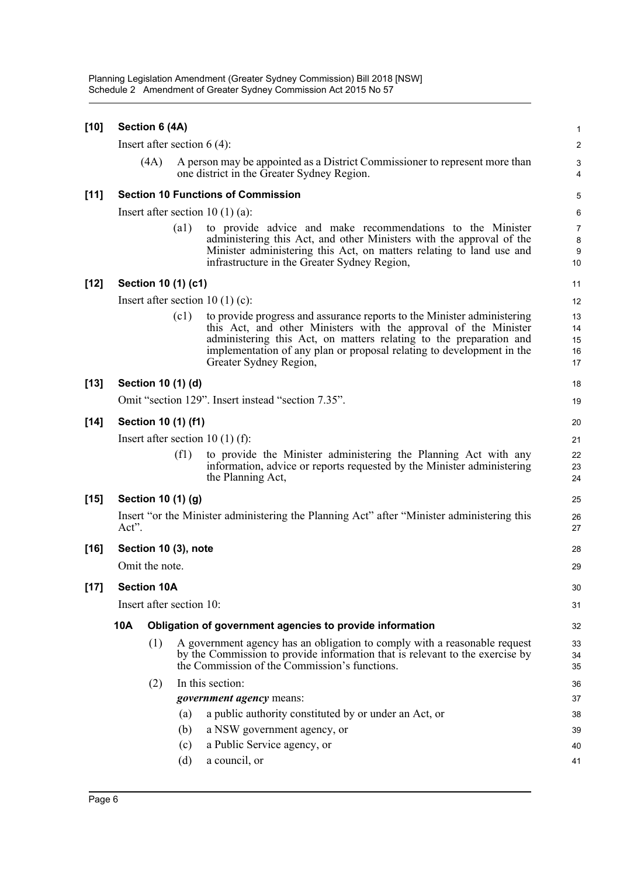| $[10]$ |                                | Section 6 (4A)                     |                    |                                                                                                                                                                                                                                                                                                                     |                            |  |  |
|--------|--------------------------------|------------------------------------|--------------------|---------------------------------------------------------------------------------------------------------------------------------------------------------------------------------------------------------------------------------------------------------------------------------------------------------------------|----------------------------|--|--|
|        |                                |                                    |                    | Insert after section $6(4)$ :                                                                                                                                                                                                                                                                                       | 2                          |  |  |
|        |                                | (4A)                               |                    | A person may be appointed as a District Commissioner to represent more than<br>one district in the Greater Sydney Region.                                                                                                                                                                                           | 4                          |  |  |
| $[11]$ |                                |                                    |                    | <b>Section 10 Functions of Commission</b>                                                                                                                                                                                                                                                                           | 5                          |  |  |
|        |                                | Insert after section $10(1)(a)$ :  |                    |                                                                                                                                                                                                                                                                                                                     |                            |  |  |
|        |                                |                                    | $\left( a1\right)$ | to provide advice and make recommendations to the Minister<br>administering this Act, and other Ministers with the approval of the<br>Minister administering this Act, on matters relating to land use and<br>infrastructure in the Greater Sydney Region,                                                          | 7<br>ε<br>ς<br>10          |  |  |
| $[12]$ |                                | Section 10 (1) (c1)                |                    |                                                                                                                                                                                                                                                                                                                     | 11                         |  |  |
|        |                                |                                    |                    | Insert after section $10(1)(c)$ :                                                                                                                                                                                                                                                                                   | 12                         |  |  |
|        |                                |                                    | (c1)               | to provide progress and assurance reports to the Minister administering<br>this Act, and other Ministers with the approval of the Minister<br>administering this Act, on matters relating to the preparation and<br>implementation of any plan or proposal relating to development in the<br>Greater Sydney Region, | 13<br>14<br>15<br>16<br>17 |  |  |
| $[13]$ |                                | Section 10 (1) (d)                 |                    |                                                                                                                                                                                                                                                                                                                     | 18                         |  |  |
|        |                                |                                    |                    | Omit "section 129". Insert instead "section 7.35".                                                                                                                                                                                                                                                                  | 19                         |  |  |
| $[14]$ |                                | Section 10 (1) (f1)                |                    |                                                                                                                                                                                                                                                                                                                     | 20                         |  |  |
|        |                                | Insert after section 10 $(1)$ (f): |                    |                                                                                                                                                                                                                                                                                                                     |                            |  |  |
|        |                                |                                    | (f1)               | to provide the Minister administering the Planning Act with any<br>information, advice or reports requested by the Minister administering<br>the Planning Act,                                                                                                                                                      | 22<br>23<br>24             |  |  |
| $[15]$ |                                | Section 10 (1) (g)                 |                    |                                                                                                                                                                                                                                                                                                                     | 25                         |  |  |
|        | Act".                          |                                    |                    | Insert "or the Minister administering the Planning Act" after "Minister administering this                                                                                                                                                                                                                          | 26<br>27                   |  |  |
| $[16]$ | Section 10 (3), note           |                                    |                    |                                                                                                                                                                                                                                                                                                                     |                            |  |  |
|        |                                | Omit the note.                     |                    |                                                                                                                                                                                                                                                                                                                     | 29                         |  |  |
| $[17]$ |                                | <b>Section 10A</b>                 |                    |                                                                                                                                                                                                                                                                                                                     | 30                         |  |  |
|        | Insert after section 10:<br>31 |                                    |                    |                                                                                                                                                                                                                                                                                                                     |                            |  |  |
|        | 10A                            |                                    |                    | Obligation of government agencies to provide information                                                                                                                                                                                                                                                            | 32                         |  |  |
|        |                                | (1)                                |                    | A government agency has an obligation to comply with a reasonable request<br>by the Commission to provide information that is relevant to the exercise by<br>the Commission of the Commission's functions.                                                                                                          | 33<br>34<br>35             |  |  |
|        |                                |                                    |                    | In this section:                                                                                                                                                                                                                                                                                                    |                            |  |  |
|        |                                | (2)                                |                    | <i>government agency</i> means:                                                                                                                                                                                                                                                                                     | 36<br>37                   |  |  |
|        |                                |                                    | (a)                | a public authority constituted by or under an Act, or                                                                                                                                                                                                                                                               | 38                         |  |  |
|        |                                |                                    | (b)                | a NSW government agency, or                                                                                                                                                                                                                                                                                         | 39                         |  |  |
|        |                                |                                    | (c)                | a Public Service agency, or                                                                                                                                                                                                                                                                                         | 40                         |  |  |
|        |                                |                                    | (d)                | a council, or                                                                                                                                                                                                                                                                                                       | 41                         |  |  |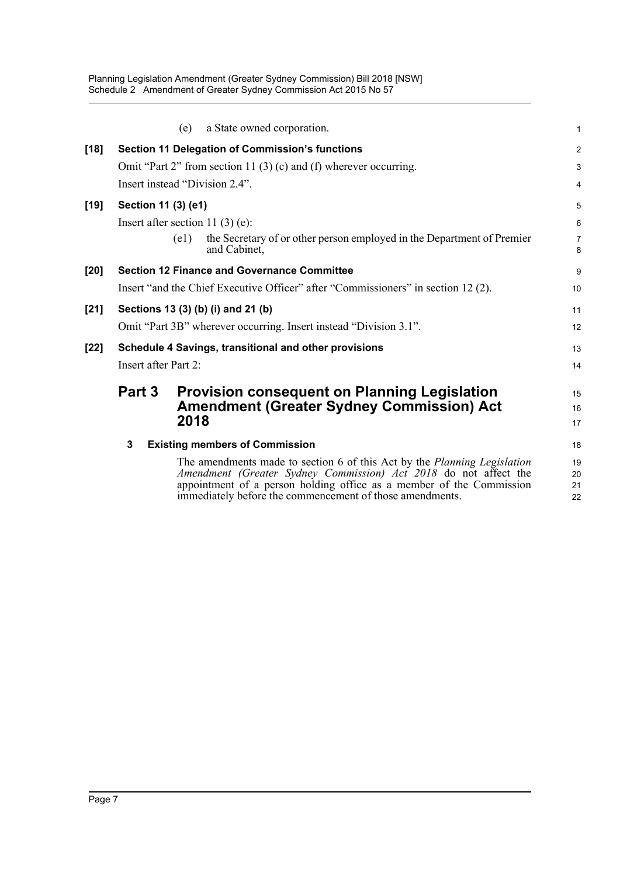|        |                      | a State owned corporation.<br>(e)                                                                                                                                                                                                                                                | 1                    |
|--------|----------------------|----------------------------------------------------------------------------------------------------------------------------------------------------------------------------------------------------------------------------------------------------------------------------------|----------------------|
| $[18]$ |                      | Section 11 Delegation of Commission's functions                                                                                                                                                                                                                                  | $\overline{a}$       |
|        |                      | Omit "Part 2" from section 11 $(3)(c)$ and $(f)$ wherever occurring.                                                                                                                                                                                                             | 3                    |
|        |                      | Insert instead "Division 2.4".                                                                                                                                                                                                                                                   | 4                    |
| $[19]$ | Section 11 (3) (e1)  |                                                                                                                                                                                                                                                                                  | 5                    |
|        |                      | Insert after section 11 $(3)$ $(e)$ :                                                                                                                                                                                                                                            | 6                    |
|        |                      | the Secretary of or other person employed in the Department of Premier<br>(e1)<br>and Cabinet,                                                                                                                                                                                   | 7<br>8               |
| $[20]$ |                      | <b>Section 12 Finance and Governance Committee</b>                                                                                                                                                                                                                               | 9                    |
|        |                      | Insert "and the Chief Executive Officer" after "Commissioners" in section 12 (2).                                                                                                                                                                                                | 10                   |
| $[21]$ |                      | Sections 13 (3) (b) (i) and 21 (b)                                                                                                                                                                                                                                               | 11                   |
|        |                      | Omit "Part 3B" wherever occurring. Insert instead "Division 3.1".                                                                                                                                                                                                                | 12                   |
| $[22]$ |                      | Schedule 4 Savings, transitional and other provisions                                                                                                                                                                                                                            | 13                   |
|        | Insert after Part 2: |                                                                                                                                                                                                                                                                                  | 14                   |
|        | Part 3               | <b>Provision consequent on Planning Legislation</b>                                                                                                                                                                                                                              | 15                   |
|        |                      | <b>Amendment (Greater Sydney Commission) Act</b>                                                                                                                                                                                                                                 | 16                   |
|        |                      | 2018                                                                                                                                                                                                                                                                             | 17                   |
|        | 3                    | <b>Existing members of Commission</b>                                                                                                                                                                                                                                            | 18                   |
|        |                      | The amendments made to section 6 of this Act by the Planning Legislation<br>Amendment (Greater Sydney Commission) Act 2018 do not affect the<br>appointment of a person holding office as a member of the Commission<br>immediately before the commencement of those amendments. | 19<br>20<br>21<br>22 |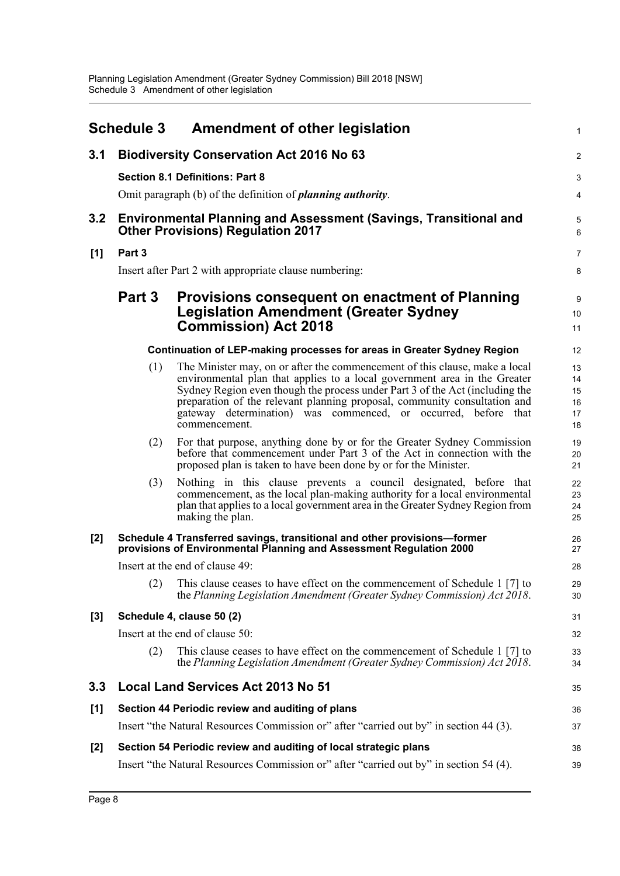<span id="page-12-0"></span>

|     | <b>Schedule 3</b> | <b>Amendment of other legislation</b>                                                                                                                                                                                                                                                                                                                                                                    |                                  |
|-----|-------------------|----------------------------------------------------------------------------------------------------------------------------------------------------------------------------------------------------------------------------------------------------------------------------------------------------------------------------------------------------------------------------------------------------------|----------------------------------|
| 3.1 |                   | <b>Biodiversity Conservation Act 2016 No 63</b>                                                                                                                                                                                                                                                                                                                                                          | 2                                |
|     |                   | <b>Section 8.1 Definitions: Part 8</b>                                                                                                                                                                                                                                                                                                                                                                   | З                                |
|     |                   | Omit paragraph (b) of the definition of <i>planning authority</i> .                                                                                                                                                                                                                                                                                                                                      |                                  |
| 3.2 |                   | <b>Environmental Planning and Assessment (Savings, Transitional and</b><br><b>Other Provisions) Regulation 2017</b>                                                                                                                                                                                                                                                                                      | $\epsilon$                       |
| [1] | Part 3            |                                                                                                                                                                                                                                                                                                                                                                                                          | 7                                |
|     |                   | Insert after Part 2 with appropriate clause numbering:                                                                                                                                                                                                                                                                                                                                                   | ε                                |
|     | Part 3            | Provisions consequent on enactment of Planning<br><b>Legislation Amendment (Greater Sydney</b><br><b>Commission) Act 2018</b>                                                                                                                                                                                                                                                                            | ς<br>10<br>11                    |
|     |                   | Continuation of LEP-making processes for areas in Greater Sydney Region                                                                                                                                                                                                                                                                                                                                  | 12                               |
|     | (1)               | The Minister may, on or after the commencement of this clause, make a local<br>environmental plan that applies to a local government area in the Greater<br>Sydney Region even though the process under Part 3 of the Act (including the<br>preparation of the relevant planning proposal, community consultation and<br>gateway determination) was commenced, or occurred, before that<br>commencement. | 13<br>14<br>15<br>16<br>17<br>18 |
|     | (2)               | For that purpose, anything done by or for the Greater Sydney Commission<br>before that commencement under Part 3 of the Act in connection with the<br>proposed plan is taken to have been done by or for the Minister.                                                                                                                                                                                   | 1 <sup>c</sup><br>20<br>21       |
|     | (3)               | Nothing in this clause prevents a council designated, before that<br>commencement, as the local plan-making authority for a local environmental<br>plan that applies to a local government area in the Greater Sydney Region from<br>making the plan.                                                                                                                                                    | 22<br>23<br>24<br>25             |
| [2] |                   | Schedule 4 Transferred savings, transitional and other provisions-former<br>provisions of Environmental Planning and Assessment Regulation 2000                                                                                                                                                                                                                                                          | 26<br>27                         |
|     |                   | Insert at the end of clause 49:                                                                                                                                                                                                                                                                                                                                                                          | 28                               |
|     |                   | (2) This clause ceases to have effect on the commencement of Schedule 1 [7] to<br>the Planning Legislation Amendment (Greater Sydney Commission) Act 2018.                                                                                                                                                                                                                                               | 29<br>3 <sub>C</sub>             |
| [3] |                   | Schedule 4, clause 50 (2)                                                                                                                                                                                                                                                                                                                                                                                | 31                               |
|     |                   | Insert at the end of clause 50:                                                                                                                                                                                                                                                                                                                                                                          | 32                               |
|     | (2)               | This clause ceases to have effect on the commencement of Schedule 1 [7] to<br>the Planning Legislation Amendment (Greater Sydney Commission) Act 2018.                                                                                                                                                                                                                                                   | 33<br>34                         |
| 3.3 |                   | <b>Local Land Services Act 2013 No 51</b>                                                                                                                                                                                                                                                                                                                                                                | 35                               |
| [1] |                   | Section 44 Periodic review and auditing of plans                                                                                                                                                                                                                                                                                                                                                         | 36                               |
|     |                   | Insert "the Natural Resources Commission or" after "carried out by" in section 44 (3).                                                                                                                                                                                                                                                                                                                   | 37                               |
| [2] |                   | Section 54 Periodic review and auditing of local strategic plans                                                                                                                                                                                                                                                                                                                                         | 38                               |
|     |                   | Insert "the Natural Resources Commission or" after "carried out by" in section 54 (4).                                                                                                                                                                                                                                                                                                                   | 39                               |